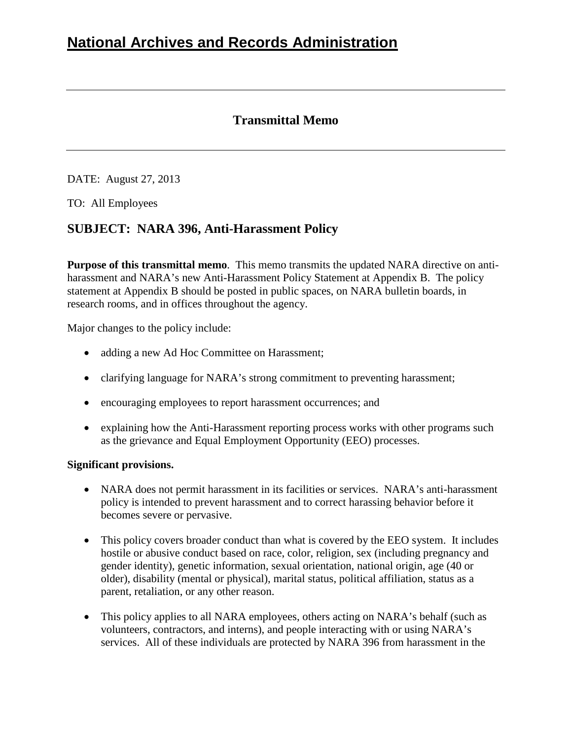# **Transmittal Memo**

DATE: August 27, 2013

TO: All Employees

# **SUBJECT: NARA 396, Anti-Harassment Policy**

**Purpose of this transmittal memo**. This memo transmits the updated NARA directive on antiharassment and NARA's new Anti-Harassment Policy Statement at Appendix B. The policy statement at Appendix B should be posted in public spaces, on NARA bulletin boards, in research rooms, and in offices throughout the agency.

Major changes to the policy include:

- adding a new Ad Hoc Committee on Harassment;
- clarifying language for NARA's strong commitment to preventing harassment;
- encouraging employees to report harassment occurrences; and
- explaining how the Anti-Harassment reporting process works with other programs such as the grievance and Equal Employment Opportunity (EEO) processes.

#### **Significant provisions.**

- NARA does not permit harassment in its facilities or services. NARA's anti-harassment policy is intended to prevent harassment and to correct harassing behavior before it becomes severe or pervasive.
- This policy covers broader conduct than what is covered by the EEO system. It includes hostile or abusive conduct based on race, color, religion, sex (including pregnancy and gender identity), genetic information, sexual orientation, national origin, age (40 or older), disability (mental or physical), marital status, political affiliation, status as a parent, retaliation, or any other reason.
- This policy applies to all NARA employees, others acting on NARA's behalf (such as volunteers, contractors, and interns), and people interacting with or using NARA's services. All of these individuals are protected by NARA 396 from harassment in the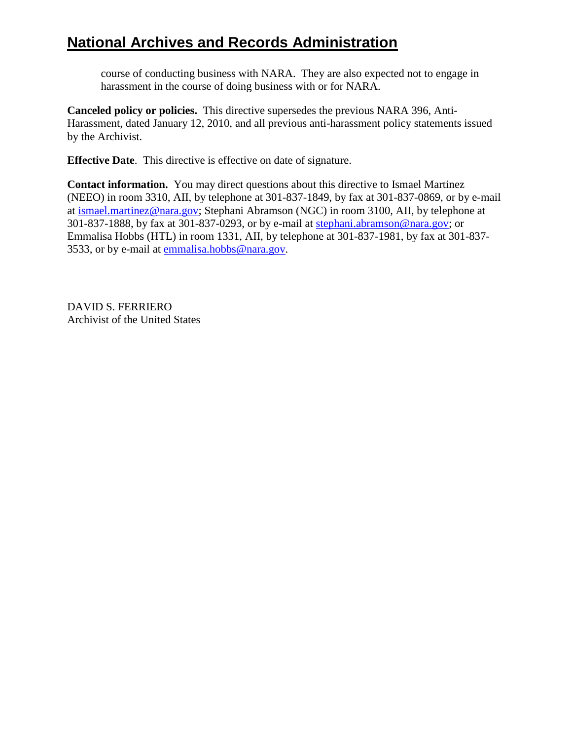# **National Archives and Records Administration**

course of conducting business with NARA. They are also expected not to engage in harassment in the course of doing business with or for NARA.

**Canceled policy or policies.** This directive supersedes the previous NARA 396, Anti-Harassment, dated January 12, 2010, and all previous anti-harassment policy statements issued by the Archivist.

**Effective Date**. This directive is effective on date of signature.

**Contact information.** You may direct questions about this directive to Ismael Martinez (NEEO) in room 3310, AII, by telephone at 301-837-1849, by fax at 301-837-0869, or by e-mail at [ismael.martinez@nara.gov;](mailto:ismael.martinez@nara.gov) Stephani Abramson (NGC) in room 3100, AII, by telephone at 301-837-1888, by fax at 301-837-0293, or by e-mail at [stephani.abramson@nara.gov;](mailto:stephani.abramson@nara.gov) or Emmalisa Hobbs (HTL) in room 1331, AII, by telephone at 301-837-1981, by fax at 301-837- 3533, or by e-mail at [emmalisa.hobbs@nara.gov.](mailto:emmalisa.hobbs@nara.gov)

DAVID S. FERRIERO Archivist of the United States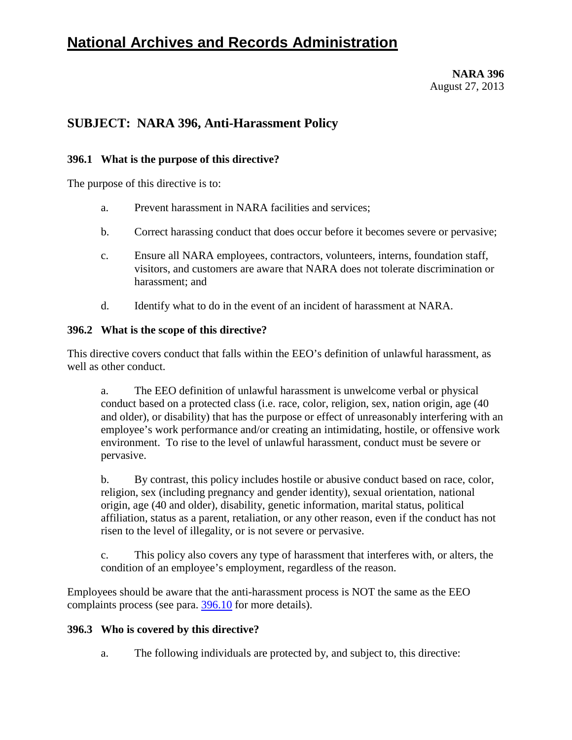# **National Archives and Records Administration**

# **SUBJECT: NARA 396, Anti-Harassment Policy**

### **396.1 What is the purpose of this directive?**

The purpose of this directive is to:

- a. Prevent harassment in NARA facilities and services;
- b. Correct harassing conduct that does occur before it becomes severe or pervasive;
- c. Ensure all NARA employees, contractors, volunteers, interns, foundation staff, visitors, and customers are aware that NARA does not tolerate discrimination or harassment; and
- d. Identify what to do in the event of an incident of harassment at NARA.

#### <span id="page-2-1"></span>**396.2 What is the scope of this directive?**

This directive covers conduct that falls within the EEO's definition of unlawful harassment, as well as other conduct.

a. The EEO definition of unlawful harassment is unwelcome verbal or physical conduct based on a protected class (i.e. race, color, religion, sex, nation origin, age (40 and older), or disability) that has the purpose or effect of unreasonably interfering with an employee's work performance and/or creating an intimidating, hostile, or offensive work environment. To rise to the level of unlawful harassment, conduct must be severe or pervasive.

b. By contrast, this policy includes hostile or abusive conduct based on race, color, religion, sex (including pregnancy and gender identity), sexual orientation, national origin, age (40 and older), disability, genetic information, marital status, political affiliation, status as a parent, retaliation, or any other reason, even if the conduct has not risen to the level of illegality, or is not severe or pervasive.

c. This policy also covers any type of harassment that interferes with, or alters, the condition of an employee's employment, regardless of the reason.

Employees should be aware that the anti-harassment process is NOT the same as the EEO complaints process (see para. [396.10](#page-11-0) for more details).

# <span id="page-2-0"></span>**396.3 Who is covered by this directive?**

a. The following individuals are protected by, and subject to, this directive: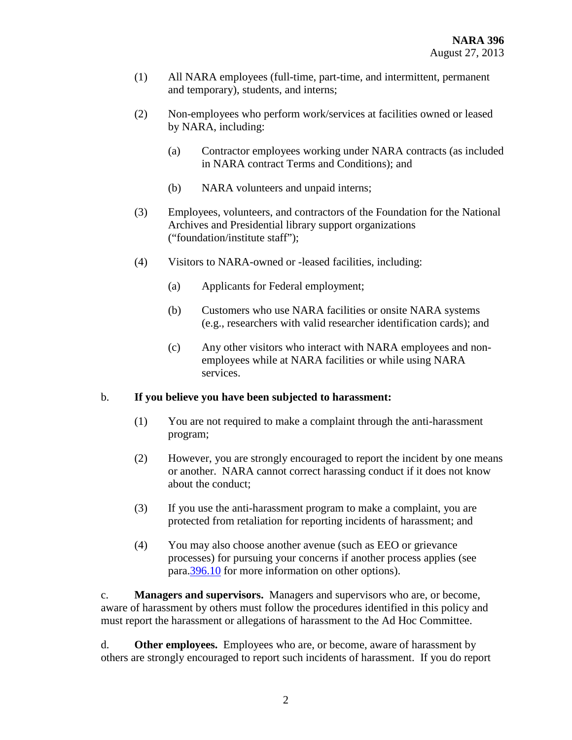- (1) All NARA employees (full-time, part-time, and intermittent, permanent and temporary), students, and interns;
- (2) Non-employees who perform work/services at facilities owned or leased by NARA, including:
	- (a) Contractor employees working under NARA contracts (as included in NARA contract Terms and Conditions); and
	- (b) NARA volunteers and unpaid interns;
- (3) Employees, volunteers, and contractors of the Foundation for the National Archives and Presidential library support organizations ("foundation/institute staff");
- (4) Visitors to NARA-owned or -leased facilities, including:
	- (a) Applicants for Federal employment;
	- (b) Customers who use NARA facilities or onsite NARA systems (e.g., researchers with valid researcher identification cards); and
	- (c) Any other visitors who interact with NARA employees and nonemployees while at NARA facilities or while using NARA services.

#### b. **If you believe you have been subjected to harassment:**

- (1) You are not required to make a complaint through the anti-harassment program;
- (2) However, you are strongly encouraged to report the incident by one means or another. NARA cannot correct harassing conduct if it does not know about the conduct;
- (3) If you use the anti-harassment program to make a complaint, you are protected from retaliation for reporting incidents of harassment; and
- (4) You may also choose another avenue (such as EEO or grievance processes) for pursuing your concerns if another process applies (see para[.396.10](#page-11-0) for more information on other options).

c. **Managers and supervisors.** Managers and supervisors who are, or become, aware of harassment by others must follow the procedures identified in this policy and must report the harassment or allegations of harassment to the Ad Hoc Committee.

d. **Other employees.** Employees who are, or become, aware of harassment by others are strongly encouraged to report such incidents of harassment. If you do report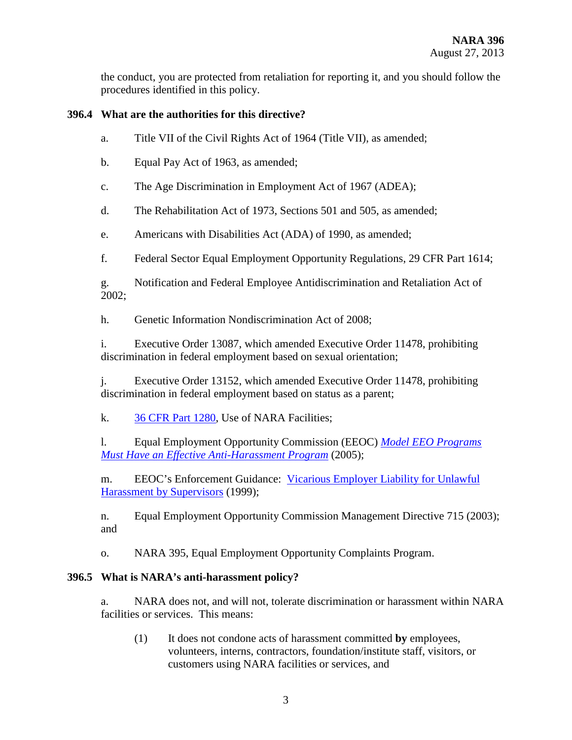the conduct, you are protected from retaliation for reporting it, and you should follow the procedures identified in this policy.

#### **396.4 What are the authorities for this directive?**

- a. [Title VII](http://www.eeoc.gov/laws/statutes/titlevii.cfm) of the Civil Rights Act of 1964 (Title VII), as amended;
- b. Equal Pay Act of 1963, as amended;
- c. The [Age Discrimination in Employment Act](http://www.eeoc.gov/laws/statutes/adea.cfm) of 1967 (ADEA);
- d. The Rehabilitation Act of 1973, [Sections 501 and 505,](http://www.eeoc.gov/laws/statutes/rehab.cfm) as amended;
- e. [Americans with Disabilities Act](http://www.ada.gov/pubs/ada.htm) (ADA) of 1990, as amended;
- f. Federal Sector Equal Employment Opportunity Regulations, [29 CFR Part 1614;](http://www.eeoc.gov/federal/directives/1614-final.cfm)

g. Notification and Federal Employee Antidiscrimination and Retaliation Act of 2002;

h. Genetic Information Nondiscrimination Act of 2008;

i. Executive Order 13087, which amended Executive Order 11478, prohibiting discrimination in federal employment based on sexual orientation;

j. Executive Order 13152, which amended Executive Order 11478, prohibiting discrimination in federal employment based on status as a parent;

k. [36 CFR Part 1280,](http://www.ecfr.gov/cgi-bin/text-idx?c=ecfr&SID=327e2cf8f538de2e7b3d9a9b894bcd8e&rgn=div5&view=text&node=36:3.0.10.7.40&idno=36) Use of NARA Facilities;

l. Equal Employment Opportunity Commission (EEOC) *[Model EEO Programs](http://www.eeoc.gov/federal/model_eeo_programs.cfm)  [Must Have an Effective Anti-Harassment Program](http://www.eeoc.gov/federal/model_eeo_programs.cfm)* (2005);

m. EEOC's Enforcement Guidance: [Vicarious Employer Liability for Unlawful](http://www.eeoc.gov/policy/docs/harassment.html)  [Harassment by Supervisors](http://www.eeoc.gov/policy/docs/harassment.html) (1999);

n. Equal Employment Opportunity Commission Management Directive 715 (2003); and

o. NARA 395, Equal Employment Opportunity Complaints Program.

#### **396.5 What is NARA's anti-harassment policy?**

a. NARA does not, and will not, tolerate discrimination or harassment within NARA facilities or services. This means:

(1) It does not condone acts of harassment committed **by** employees, volunteers, interns, contractors, foundation/institute staff, visitors, or customers using NARA facilities or services, and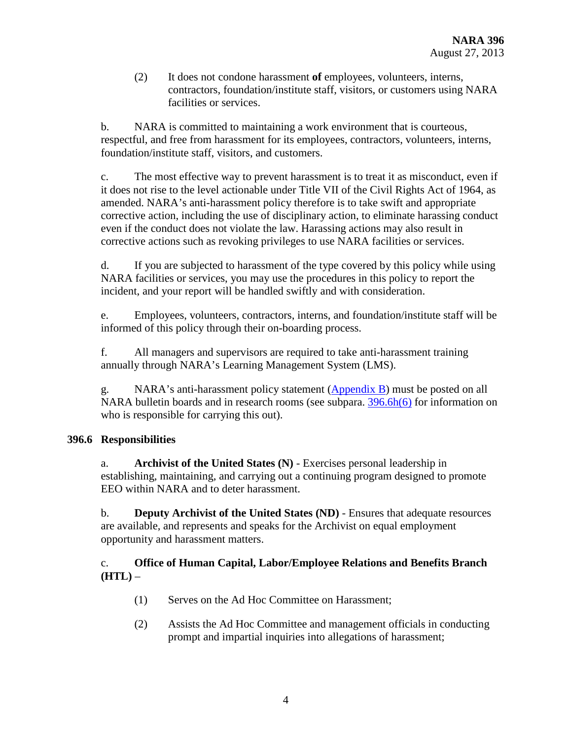(2) It does not condone harassment **of** employees, volunteers, interns, contractors, foundation/institute staff, visitors, or customers using NARA facilities or services.

b. NARA is committed to maintaining a work environment that is courteous, respectful, and free from harassment for its employees, contractors, volunteers, interns, foundation/institute staff, visitors, and customers.

c. The most effective way to prevent harassment is to treat it as misconduct, even if it does not rise to the level actionable under Title VII of the Civil Rights Act of 1964, as amended. NARA's anti-harassment policy therefore is to take swift and appropriate corrective action, including the use of disciplinary action, to eliminate harassing conduct even if the conduct does not violate the law. Harassing actions may also result in corrective actions such as revoking privileges to use NARA facilities or services.

d. If you are subjected to harassment of the type covered by this policy while using NARA facilities or services, you may use the procedures in this policy to report the incident, and your report will be handled swiftly and with consideration.

e. Employees, volunteers, contractors, interns, and foundation/institute staff will be informed of this policy through their on-boarding process.

f. All managers and supervisors are required to take anti-harassment training annually through NARA's Learning Management System (LMS).

g. NARA's anti-harassment policy statement [\(Appendix B\)](#page-17-0) must be posted on all NARA bulletin boards and in research rooms (see subpara. [396.6h\(6\)](#page-5-0) for information on who is responsible for carrying this out).

# <span id="page-5-0"></span>**396.6 Responsibilities**

a. **Archivist of the United States (N)** - Exercises personal leadership in establishing, maintaining, and carrying out a continuing program designed to promote EEO within NARA and to deter harassment.

b. **Deputy Archivist of the United States (ND)** - Ensures that adequate resources are available, and represents and speaks for the Archivist on equal employment opportunity and harassment matters.

# c. **Office of Human Capital, Labor/Employee Relations and Benefits Branch (HTL)** –

- (1) Serves on the Ad Hoc Committee on Harassment;
- (2) Assists the Ad Hoc Committee and management officials in conducting prompt and impartial inquiries into allegations of harassment;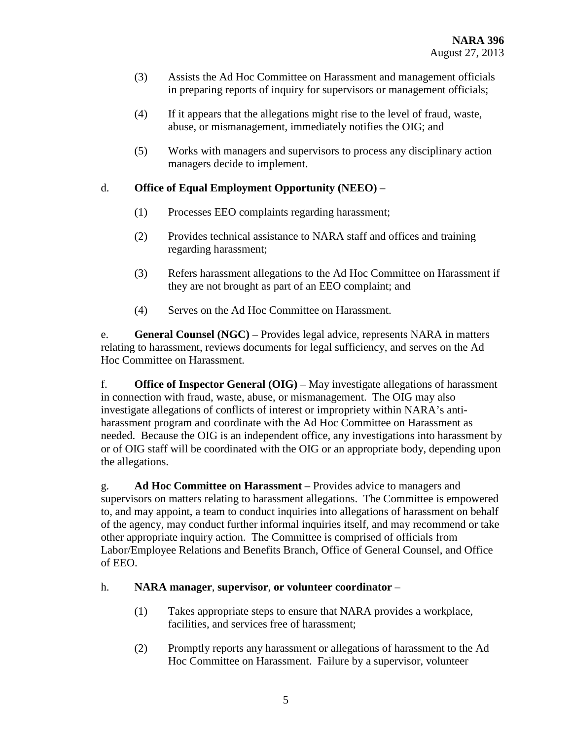- (3) Assists the Ad Hoc Committee on Harassment and management officials in preparing reports of inquiry for supervisors or management officials;
- (4) If it appears that the allegations might rise to the level of fraud, waste, abuse, or mismanagement, immediately notifies the OIG; and
- (5) Works with managers and supervisors to process any disciplinary action managers decide to implement.

#### d. **Office of Equal Employment Opportunity (NEEO)** –

- (1) Processes EEO complaints regarding harassment;
- (2) Provides technical assistance to NARA staff and offices and training regarding harassment;
- (3) Refers harassment allegations to the Ad Hoc Committee on Harassment if they are not brought as part of an EEO complaint; and
- (4) Serves on the Ad Hoc Committee on Harassment.

e. **General Counsel (NGC)** – Provides legal advice, represents NARA in matters relating to harassment, reviews documents for legal sufficiency, and serves on the Ad Hoc Committee on Harassment.

f. **Office of Inspector General (OIG)** – May investigate allegations of harassment in connection with fraud, waste, abuse, or mismanagement. The OIG may also investigate allegations of conflicts of interest or impropriety within NARA's antiharassment program and coordinate with the Ad Hoc Committee on Harassment as needed. Because the OIG is an independent office, any investigations into harassment by or of OIG staff will be coordinated with the OIG or an appropriate body, depending upon the allegations.

g. **Ad Hoc Committee on Harassment** – Provides advice to managers and supervisors on matters relating to harassment allegations. The Committee is empowered to, and may appoint, a team to conduct inquiries into allegations of harassment on behalf of the agency, may conduct further informal inquiries itself, and may recommend or take other appropriate inquiry action. The Committee is comprised of officials from Labor/Employee Relations and Benefits Branch, Office of General Counsel, and Office of EEO.

#### h. **NARA manager**, **supervisor**, **or volunteer coordinator** –

- (1) Takes appropriate steps to ensure that NARA provides a workplace, facilities, and services free of harassment;
- (2) Promptly reports any harassment or allegations of harassment to the Ad Hoc Committee on Harassment. Failure by a supervisor, volunteer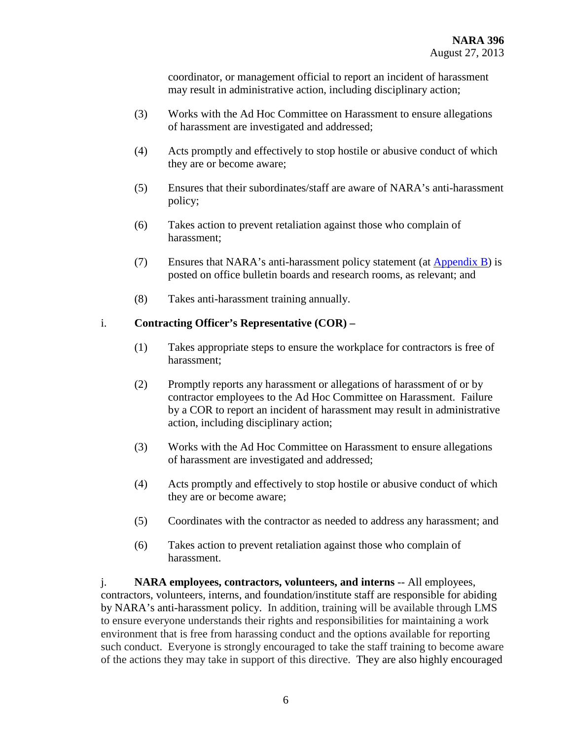coordinator, or management official to report an incident of harassment may result in administrative action, including disciplinary action;

- (3) Works with the Ad Hoc Committee on Harassment to ensure allegations of harassment are investigated and addressed;
- (4) Acts promptly and effectively to stop hostile or abusive conduct of which they are or become aware;
- (5) Ensures that their subordinates/staff are aware of NARA's anti-harassment policy;
- (6) Takes action to prevent retaliation against those who complain of harassment;
- (7) Ensures that NARA's anti-harassment policy statement (at [Appendix B\)](#page-17-0) is posted on office bulletin boards and research rooms, as relevant; and
- (8) Takes anti-harassment training annually.

#### i. **Contracting Officer's Representative (COR) –**

- (1) Takes appropriate steps to ensure the workplace for contractors is free of harassment;
- (2) Promptly reports any harassment or allegations of harassment of or by contractor employees to the Ad Hoc Committee on Harassment. Failure by a COR to report an incident of harassment may result in administrative action, including disciplinary action;
- (3) Works with the Ad Hoc Committee on Harassment to ensure allegations of harassment are investigated and addressed;
- (4) Acts promptly and effectively to stop hostile or abusive conduct of which they are or become aware;
- (5) Coordinates with the contractor as needed to address any harassment; and
- (6) Takes action to prevent retaliation against those who complain of harassment.

j. **NARA employees, contractors, volunteers, and interns** -- All employees, contractors, volunteers, interns, and foundation/institute staff are responsible for abiding by NARA's anti-harassment policy. In addition, training will be available through LMS to ensure everyone understands their rights and responsibilities for maintaining a work environment that is free from harassing conduct and the options available for reporting such conduct. Everyone is strongly encouraged to take the staff training to become aware of the actions they may take in support of this directive. They are also highly encouraged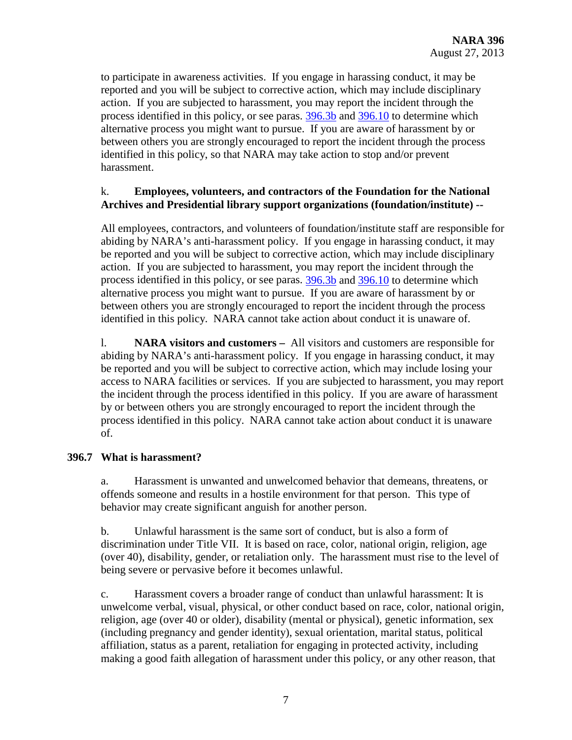to participate in awareness activities. If you engage in harassing conduct, it may be reported and you will be subject to corrective action, which may include disciplinary action. If you are subjected to harassment, you may report the incident through the process identified in this policy, or see paras.  $\frac{396.3b}{20.3}$  and  $\frac{396.10}{20.3}$  to determine which alternative process you might want to pursue. If you are aware of harassment by or between others you are strongly encouraged to report the incident through the process identified in this policy, so that NARA may take action to stop and/or prevent harassment.

# k. **Employees, volunteers, and contractors of the Foundation for the National Archives and Presidential library support organizations (foundation/institute) --**

All employees, contractors, and volunteers of foundation/institute staff are responsible for abiding by NARA's anti-harassment policy. If you engage in harassing conduct, it may be reported and you will be subject to corrective action, which may include disciplinary action. If you are subjected to harassment, you may report the incident through the process identified in this policy, or see paras. [396.3b](#page-2-0) and [396.10](#page-11-0) to determine which alternative process you might want to pursue. If you are aware of harassment by or between others you are strongly encouraged to report the incident through the process identified in this policy. NARA cannot take action about conduct it is unaware of.

l. **NARA visitors and customers –** All visitors and customers are responsible for abiding by NARA's anti-harassment policy. If you engage in harassing conduct, it may be reported and you will be subject to corrective action, which may include losing your access to NARA facilities or services. If you are subjected to harassment, you may report the incident through the process identified in this policy. If you are aware of harassment by or between others you are strongly encouraged to report the incident through the process identified in this policy. NARA cannot take action about conduct it is unaware of.

# **396.7 What is harassment?**

a. Harassment is unwanted and unwelcomed behavior that demeans, threatens, or offends someone and results in a hostile environment for that person. This type of behavior may create significant anguish for another person.

b. Unlawful harassment is the same sort of conduct, but is also a form of discrimination under Title VII. It is based on race, color, national origin, religion, age (over 40), disability, gender, or retaliation only. The harassment must rise to the level of being severe or pervasive before it becomes unlawful.

c. Harassment covers a broader range of conduct than unlawful harassment: It is unwelcome verbal, visual, physical, or other conduct based on race, color, national origin, religion, age (over 40 or older), disability (mental or physical), genetic information, sex (including pregnancy and gender identity), sexual orientation, marital status, political affiliation, status as a parent, retaliation for engaging in protected activity, including making a good faith allegation of harassment under this policy, or any other reason, that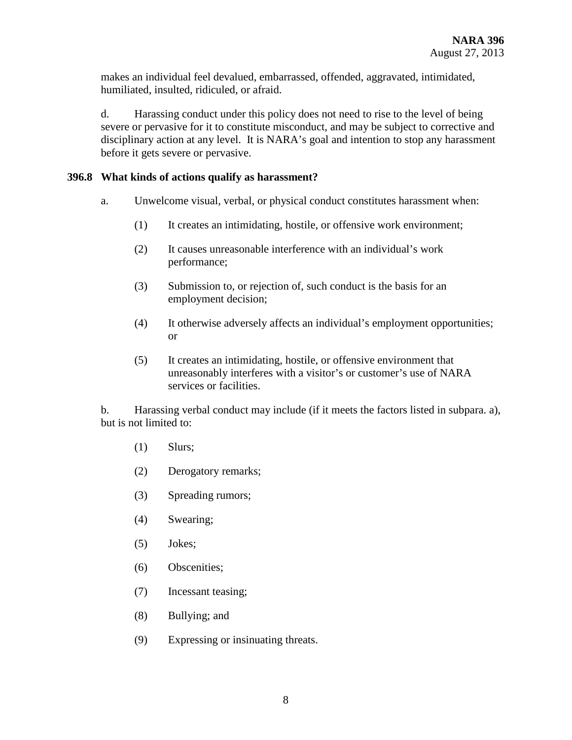makes an individual feel devalued, embarrassed, offended, aggravated, intimidated, humiliated, insulted, ridiculed, or afraid.

d. Harassing conduct under this policy does not need to rise to the level of being severe or pervasive for it to constitute misconduct, and may be subject to corrective and disciplinary action at any level. It is NARA's goal and intention to stop any harassment before it gets severe or pervasive.

#### **396.8 What kinds of actions qualify as harassment?**

- a. Unwelcome visual, verbal, or physical conduct constitutes harassment when:
	- (1) It creates an intimidating, hostile, or offensive work environment;
	- (2) It causes unreasonable interference with an individual's work performance;
	- (3) Submission to, or rejection of, such conduct is the basis for an employment decision;
	- (4) It otherwise adversely affects an individual's employment opportunities; or
	- (5) It creates an intimidating, hostile, or offensive environment that unreasonably interferes with a visitor's or customer's use of NARA services or facilities.

b. Harassing verbal conduct may include (if it meets the factors listed in subpara. a), but is not limited to:

- (1) Slurs;
- (2) Derogatory remarks;
- (3) Spreading rumors;
- (4) Swearing;
- (5) Jokes;
- (6) Obscenities;
- (7) Incessant teasing;
- (8) Bullying; and
- (9) Expressing or insinuating threats.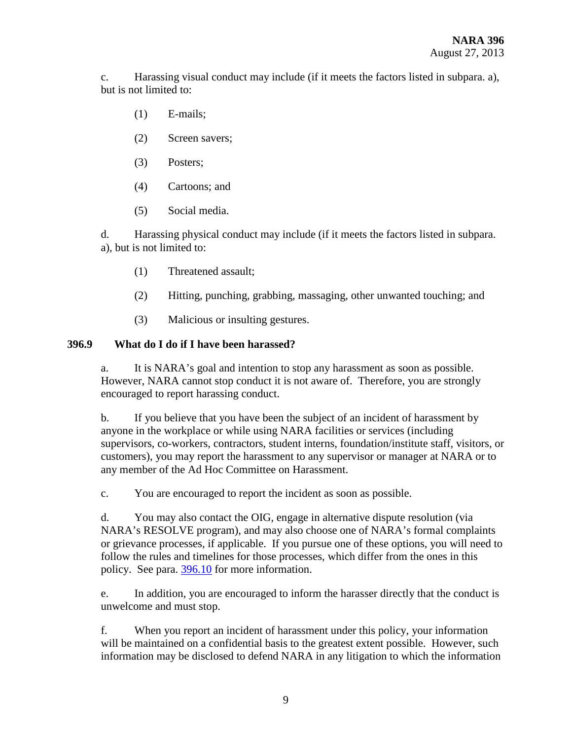c. Harassing visual conduct may include (if it meets the factors listed in subpara. a), but is not limited to:

- (1) E-mails;
- (2) Screen savers;
- (3) Posters;
- (4) Cartoons; and
- (5) Social media.

d. Harassing physical conduct may include (if it meets the factors listed in subpara. a), but is not limited to:

- (1) Threatened assault;
- (2) Hitting, punching, grabbing, massaging, other unwanted touching; and
- (3) Malicious or insulting gestures.

# **396.9 What do I do if I have been harassed?**

a. It is NARA's goal and intention to stop any harassment as soon as possible. However, NARA cannot stop conduct it is not aware of. Therefore, you are strongly encouraged to report harassing conduct.

b. If you believe that you have been the subject of an incident of harassment by anyone in the workplace or while using NARA facilities or services (including supervisors, co-workers, contractors, student interns, foundation/institute staff, visitors, or customers), you may report the harassment to any supervisor or manager at NARA or to any member of the Ad Hoc Committee on Harassment.

c. You are encouraged to report the incident as soon as possible.

d. You may also contact the OIG, engage in alternative dispute resolution (via NARA's RESOLVE program), and may also choose one of NARA's formal complaints or grievance processes, if applicable. If you pursue one of these options, you will need to follow the rules and timelines for those processes, which differ from the ones in this policy. See para. [396.10](#page-11-0) for more information.

e. In addition, you are encouraged to inform the harasser directly that the conduct is unwelcome and must stop.

f. When you report an incident of harassment under this policy, your information will be maintained on a confidential basis to the greatest extent possible. However, such information may be disclosed to defend NARA in any litigation to which the information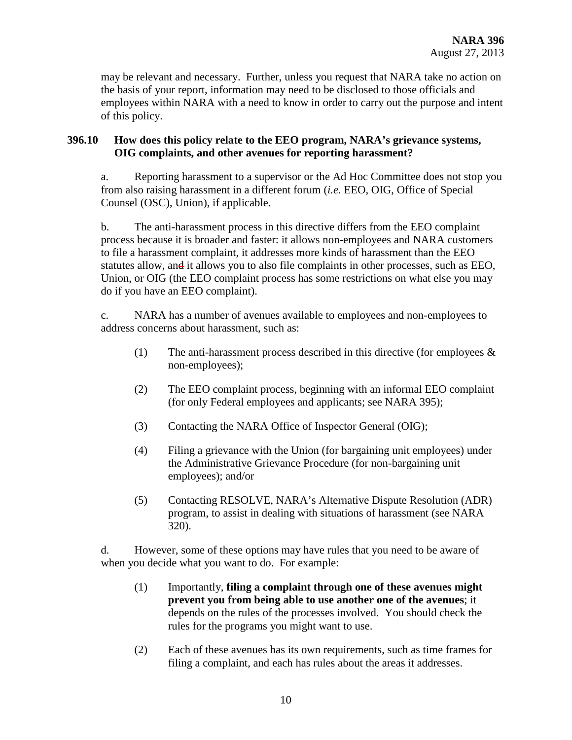may be relevant and necessary. Further, unless you request that NARA take no action on the basis of your report, information may need to be disclosed to those officials and employees within NARA with a need to know in order to carry out the purpose and intent of this policy.

#### <span id="page-11-0"></span>**396.10 How does this policy relate to the EEO program, NARA's grievance systems, OIG complaints, and other avenues for reporting harassment?**

a. Reporting harassment to a supervisor or the Ad Hoc Committee does not stop you from also raising harassment in a different forum (*i.e.* EEO, OIG, Office of Special Counsel (OSC), Union), if applicable.

b. The anti-harassment process in this directive differs from the EEO complaint process because it is broader and faster: it allows non-employees and NARA customers to file a harassment complaint, it addresses more kinds of harassment than the EEO statutes allow, and it allows you to also file complaints in other processes, such as EEO, Union, or OIG (the EEO complaint process has some restrictions on what else you may do if you have an EEO complaint).

c. NARA has a number of avenues available to employees and non-employees to address concerns about harassment, such as:

- (1) The anti-harassment process described in this directive (for employees  $\&$ non-employees);
- (2) The EEO complaint process, beginning with an informal EEO complaint (for only Federal employees and applicants; see NARA 395);
- (3) Contacting the NARA Office of Inspector General (OIG);
- (4) Filing a grievance with the Union (for bargaining unit employees) under the Administrative Grievance Procedure (for non-bargaining unit employees); and/or
- (5) Contacting RESOLVE, NARA's Alternative Dispute Resolution (ADR) program, to assist in dealing with situations of harassment (see NARA 320).

d. However, some of these options may have rules that you need to be aware of when you decide what you want to do. For example:

- (1) Importantly, **filing a complaint through one of these avenues might prevent you from being able to use another one of the avenues**; it depends on the rules of the processes involved. You should check the rules for the programs you might want to use.
- (2) Each of these avenues has its own requirements, such as time frames for filing a complaint, and each has rules about the areas it addresses.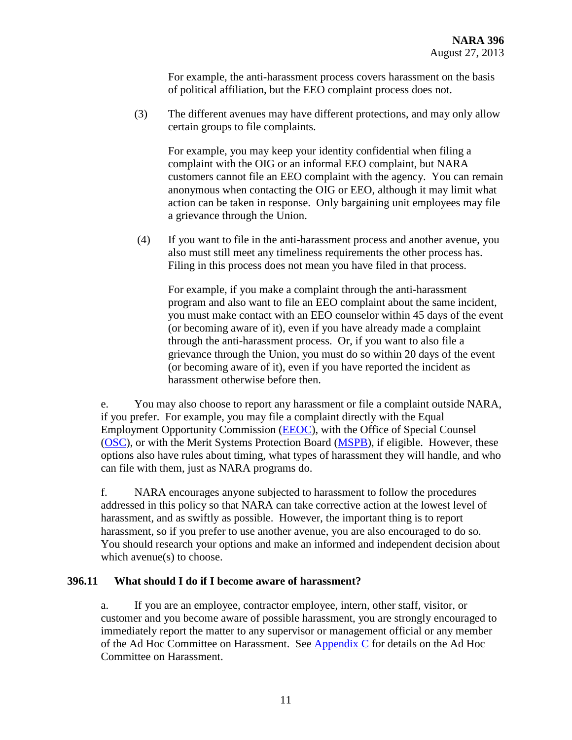For example, the anti-harassment process covers harassment on the basis of political affiliation, but the EEO complaint process does not.

(3) The different avenues may have different protections, and may only allow certain groups to file complaints.

For example, you may keep your identity confidential when filing a complaint with the OIG or an informal EEO complaint, but NARA customers cannot file an EEO complaint with the agency. You can remain anonymous when contacting the OIG or EEO, although it may limit what action can be taken in response. Only bargaining unit employees may file a grievance through the Union.

(4) If you want to file in the anti-harassment process and another avenue, you also must still meet any timeliness requirements the other process has. Filing in this process does not mean you have filed in that process.

For example, if you make a complaint through the anti-harassment program and also want to file an EEO complaint about the same incident, you must make contact with an EEO counselor within 45 days of the event (or becoming aware of it), even if you have already made a complaint through the anti-harassment process. Or, if you want to also file a grievance through the Union, you must do so within 20 days of the event (or becoming aware of it), even if you have reported the incident as harassment otherwise before then.

e. You may also choose to report any harassment or file a complaint outside NARA, if you prefer. For example, you may file a complaint directly with the Equal Employment Opportunity Commission [\(EEOC\)](http://www.eeoc.gov/), with the Office of Special Counsel [\(OSC\)](http://www.osc.gov/), or with the Merit Systems Protection Board [\(MSPB\)](http://www.mspb.gov/), if eligible. However, these options also have rules about timing, what types of harassment they will handle, and who can file with them, just as NARA programs do.

f. NARA encourages anyone subjected to harassment to follow the procedures addressed in this policy so that NARA can take corrective action at the lowest level of harassment, and as swiftly as possible. However, the important thing is to report harassment, so if you prefer to use another avenue, you are also encouraged to do so. You should research your options and make an informed and independent decision about which avenue(s) to choose.

#### **396.11 What should I do if I become aware of harassment?**

a. If you are an employee, contractor employee, intern, other staff, visitor, or customer and you become aware of possible harassment, you are strongly encouraged to immediately report the matter to any supervisor or management official or any member of the Ad Hoc Committee on Harassment. See [Appendix C](#page-20-0) for details on the Ad Hoc Committee on Harassment.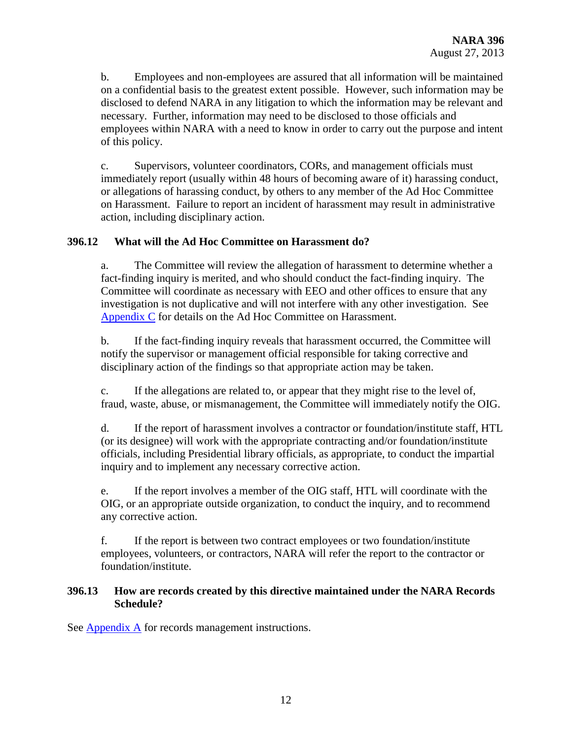b. Employees and non-employees are assured that all information will be maintained on a confidential basis to the greatest extent possible. However, such information may be disclosed to defend NARA in any litigation to which the information may be relevant and necessary. Further, information may need to be disclosed to those officials and employees within NARA with a need to know in order to carry out the purpose and intent of this policy.

c. Supervisors, volunteer coordinators, CORs, and management officials must immediately report (usually within 48 hours of becoming aware of it) harassing conduct, or allegations of harassing conduct, by others to any member of the Ad Hoc Committee on Harassment. Failure to report an incident of harassment may result in administrative action, including disciplinary action.

# **396.12 What will the Ad Hoc Committee on Harassment do?**

a. The Committee will review the allegation of harassment to determine whether a fact-finding inquiry is merited, and who should conduct the fact-finding inquiry. The Committee will coordinate as necessary with EEO and other offices to ensure that any investigation is not duplicative and will not interfere with any other investigation. See [Appendix](#page-20-0) C for details on the Ad Hoc Committee on Harassment.

b. If the fact-finding inquiry reveals that harassment occurred, the Committee will notify the supervisor or management official responsible for taking corrective and disciplinary action of the findings so that appropriate action may be taken.

c. If the allegations are related to, or appear that they might rise to the level of, fraud, waste, abuse, or mismanagement, the Committee will immediately notify the OIG.

d. If the report of harassment involves a contractor or foundation/institute staff, HTL (or its designee) will work with the appropriate contracting and/or foundation/institute officials, including Presidential library officials, as appropriate, to conduct the impartial inquiry and to implement any necessary corrective action.

e. If the report involves a member of the OIG staff, HTL will coordinate with the OIG, or an appropriate outside organization, to conduct the inquiry, and to recommend any corrective action.

f. If the report is between two contract employees or two foundation/institute employees, volunteers, or contractors, NARA will refer the report to the contractor or foundation/institute.

#### **396.13 How are records created by this directive maintained under the NARA Records Schedule?**

See [Appendix A](#page-14-0) for records management instructions.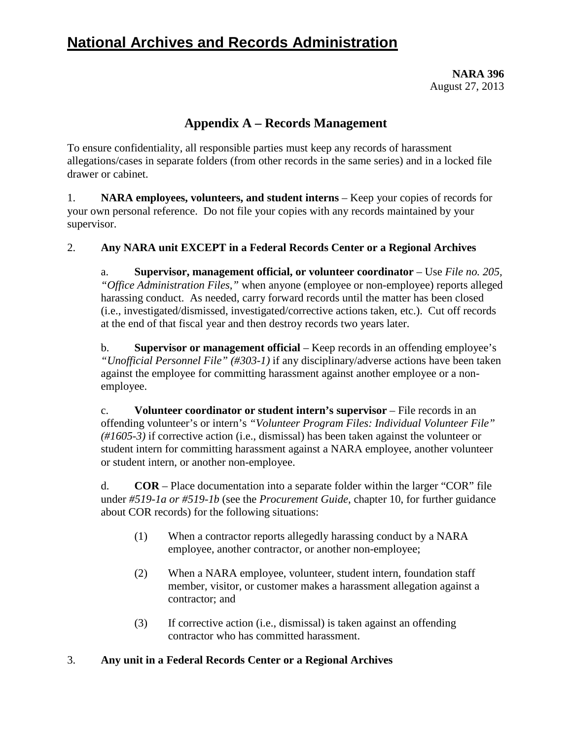# **National Archives and Records Administration**

**NARA 396** August 27, 2013

# **Appendix A – Records Management**

<span id="page-14-0"></span>To ensure confidentiality, all responsible parties must keep any records of harassment allegations/cases in separate folders (from other records in the same series) and in a locked file drawer or cabinet.

1. **NARA employees, volunteers, and student interns** – Keep your copies of records for your own personal reference. Do not file your copies with any records maintained by your supervisor.

# 2. **Any NARA unit EXCEPT in a Federal Records Center or a Regional Archives**

a. **Supervisor, management official, or volunteer coordinator** – Use *File no. 205, "Office Administration Files,"* when anyone (employee or non-employee) reports alleged harassing conduct. As needed, carry forward records until the matter has been closed (i.e., investigated/dismissed, investigated/corrective actions taken, etc.). Cut off records at the end of that fiscal year and then destroy records two years later.

b. **Supervisor or management official** – Keep records in an offending employee's *"Unofficial Personnel File" (#303-1)* if any disciplinary/adverse actions have been taken against the employee for committing harassment against another employee or a nonemployee.

c. **Volunteer coordinator or student intern's supervisor** – File records in an offending volunteer's or intern's *"Volunteer Program Files: Individual Volunteer File" (#1605-3)* if corrective action (i.e., dismissal) has been taken against the volunteer or student intern for committing harassment against a NARA employee, another volunteer or student intern, or another non-employee.

d. **COR** – Place documentation into a separate folder within the larger "COR" file under *#519-1a or #519-1b* (see the *Procurement Guide*, chapter 10, for further guidance about COR records) for the following situations:

- (1) When a contractor reports allegedly harassing conduct by a NARA employee, another contractor, or another non-employee;
- (2) When a NARA employee, volunteer, student intern, foundation staff member, visitor, or customer makes a harassment allegation against a contractor; and
- (3) If corrective action (i.e., dismissal) is taken against an offending contractor who has committed harassment.

# 3. **Any unit in a Federal Records Center or a Regional Archives**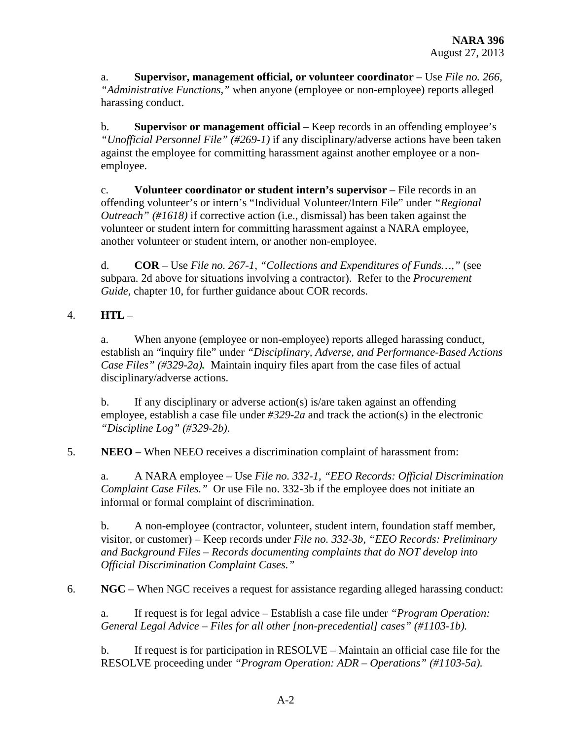a. **Supervisor, management official, or volunteer coordinator** – Use *File no. 266, "Administrative Functions,"* when anyone (employee or non-employee) reports alleged harassing conduct.

b. **Supervisor or management official** – Keep records in an offending employee's *"Unofficial Personnel File" (#269-1)* if any disciplinary/adverse actions have been taken against the employee for committing harassment against another employee or a nonemployee.

c. **Volunteer coordinator or student intern's supervisor** – File records in an offending volunteer's or intern's "Individual Volunteer/Intern File" under *"Regional Outreach" (#1618)* if corrective action (i.e., dismissal) has been taken against the volunteer or student intern for committing harassment against a NARA employee, another volunteer or student intern, or another non-employee.

d. **COR** – Use *File no. 267-1, "Collections and Expenditures of Funds…,"* (see subpara. 2d above for situations involving a contractor). Refer to the *Procurement Guide*, chapter 10, for further guidance about COR records.

# 4. **HTL** –

a. When anyone (employee or non-employee) reports alleged harassing conduct, establish an "inquiry file" under *"Disciplinary, Adverse, and Performance-Based Actions Case Files" (#329-2a).* Maintain inquiry files apart from the case files of actual disciplinary/adverse actions.

b. If any disciplinary or adverse action(s) is/are taken against an offending employee, establish a case file under *#329-2a* and track the action(s) in the electronic *"Discipline Log" (#329-2b)*.

5. **NEEO** – When NEEO receives a discrimination complaint of harassment from:

a. A NARA employee – Use *File no. 332-1, "EEO Records: Official Discrimination Complaint Case Files."* Or use File no. 332-3b if the employee does not initiate an informal or formal complaint of discrimination.

b. A non-employee (contractor, volunteer, student intern, foundation staff member, visitor, or customer) – Keep records under *File no. 332-3b, "EEO Records: Preliminary and Background Files – Records documenting complaints that do NOT develop into Official Discrimination Complaint Cases."*

6. **NGC** – When NGC receives a request for assistance regarding alleged harassing conduct:

a. If request is for legal advice – Establish a case file under *"Program Operation: General Legal Advice – Files for all other [non-precedential] cases" (#1103-1b).*

b. If request is for participation in RESOLVE – Maintain an official case file for the RESOLVE proceeding under *"Program Operation: ADR – Operations" (#1103-5a).*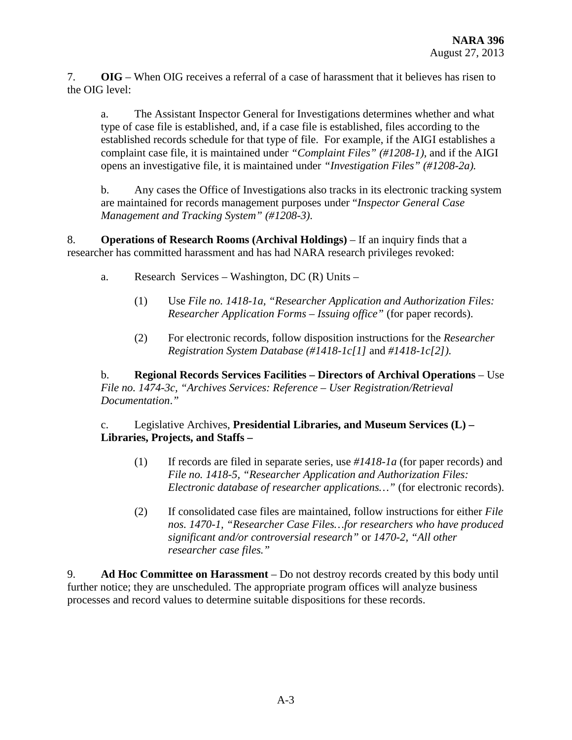7. **OIG** – When OIG receives a referral of a case of harassment that it believes has risen to the OIG level:

a. The Assistant Inspector General for Investigations determines whether and what type of case file is established, and, if a case file is established, files according to the established records schedule for that type of file. For example, if the AIGI establishes a complaint case file, it is maintained under *"Complaint Files" (#1208-1),* and if the AIGI opens an investigative file, it is maintained under *"Investigation Files" (#1208-2a).*

b. Any cases the Office of Investigations also tracks in its electronic tracking system are maintained for records management purposes under "*Inspector General Case Management and Tracking System" (#1208-3)*.

8. **Operations of Research Rooms (Archival Holdings)** – If an inquiry finds that a researcher has committed harassment and has had NARA research privileges revoked:

- a. Research Services Washington, DC (R) Units
	- (1) Use *File no. 1418-1a, "Researcher Application and Authorization Files: Researcher Application Forms – Issuing office"* (for paper records).
	- (2) For electronic records, follow disposition instructions for the *Researcher Registration System Database (#1418-1c[1]* and *#1418-1c[2]).*

b. **Regional Records Services Facilities – Directors of Archival Operations** – Use *File no. 1474-3c, "Archives Services: Reference – User Registration/Retrieval Documentation*.*"*

#### c. Legislative Archives, **Presidential Libraries, and Museum Services (L) – Libraries, Projects, and Staffs –**

- (1) If records are filed in separate series, use *#1418-1a* (for paper records) and *File no. 1418-5, "Researcher Application and Authorization Files: Electronic database of researcher applications…"* (for electronic records).
- (2) If consolidated case files are maintained, follow instructions for either *File nos. 1470-1, "Researcher Case Files…for researchers who have produced significant and/or controversial research"* or *1470-2, "All other researcher case files."*

9. **Ad Hoc Committee on Harassment** – Do not destroy records created by this body until further notice; they are unscheduled. The appropriate program offices will analyze business processes and record values to determine suitable dispositions for these records.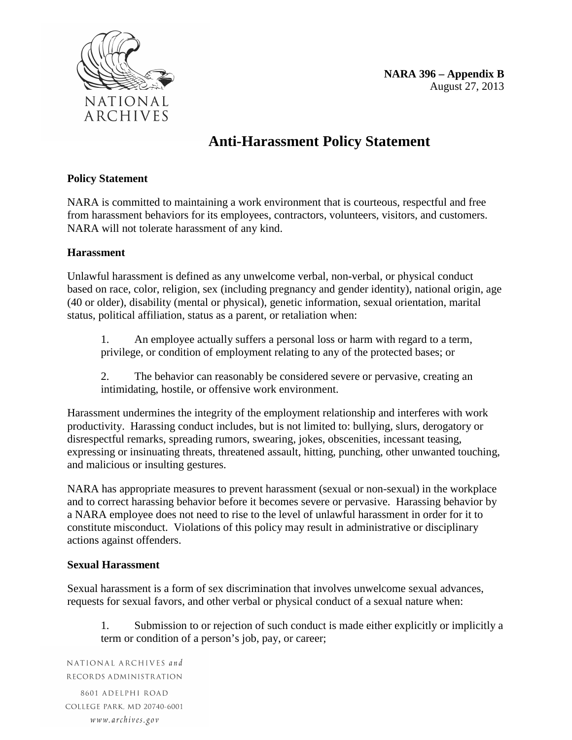

# **Anti-Harassment Policy Statement**

### <span id="page-17-0"></span>**Policy Statement**

NARA is committed to maintaining a work environment that is courteous, respectful and free from harassment behaviors for its employees, contractors, volunteers, visitors, and customers. NARA will not tolerate harassment of any kind.

#### **Harassment**

Unlawful harassment is defined as any unwelcome verbal, non-verbal, or physical conduct based on race, color, religion, sex (including pregnancy and gender identity), national origin, age (40 or older), disability (mental or physical), genetic information, sexual orientation, marital status, political affiliation, status as a parent, or retaliation when:

1. An employee actually suffers a personal loss or harm with regard to a term, privilege, or condition of employment relating to any of the protected bases; or

2. The behavior can reasonably be considered severe or pervasive, creating an intimidating, hostile, or offensive work environment.

Harassment undermines the integrity of the employment relationship and interferes with work productivity. Harassing conduct includes, but is not limited to: bullying, slurs, derogatory or disrespectful remarks, spreading rumors, swearing, jokes, obscenities, incessant teasing, expressing or insinuating threats, threatened assault, hitting, punching, other unwanted touching, and malicious or insulting gestures.

NARA has appropriate measures to prevent harassment (sexual or non-sexual) in the workplace and to correct harassing behavior before it becomes severe or pervasive. Harassing behavior by a NARA employee does not need to rise to the level of unlawful harassment in order for it to constitute misconduct. Violations of this policy may result in administrative or disciplinary actions against offenders.

#### **Sexual Harassment**

Sexual harassment is a form of sex discrimination that involves unwelcome sexual advances, requests for sexual favors, and other verbal or physical conduct of a sexual nature when:

1. Submission to or rejection of such conduct is made either explicitly or implicitly a term or condition of a person's job, pay, or career;

NATIONAL ARCHIVES and RECORDS ADMINISTRATION 8601 ADELPHI ROAD COLLEGE PARK, MD 20740-6001 www.archives.gov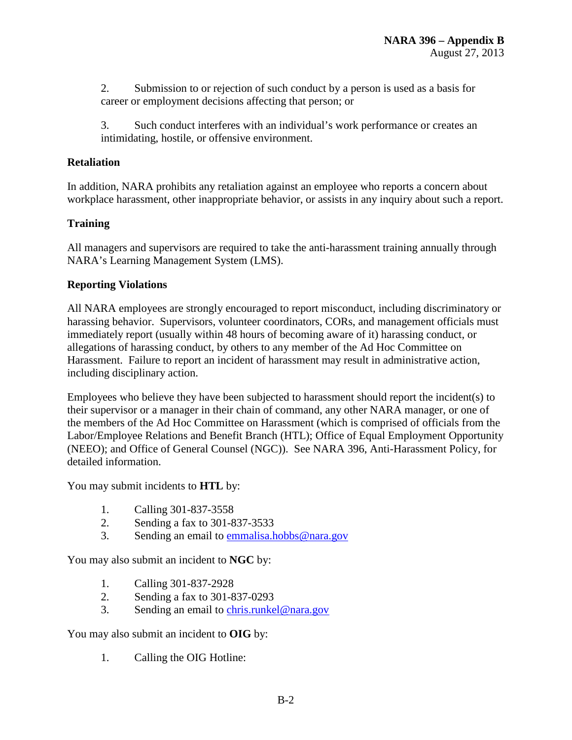2. Submission to or rejection of such conduct by a person is used as a basis for career or employment decisions affecting that person; or

3. Such conduct interferes with an individual's work performance or creates an intimidating, hostile, or offensive environment.

### **Retaliation**

In addition, NARA prohibits any retaliation against an employee who reports a concern about workplace harassment, other inappropriate behavior, or assists in any inquiry about such a report.

# **Training**

All managers and supervisors are required to take the anti-harassment training annually through NARA's Learning Management System (LMS).

# **Reporting Violations**

All NARA employees are strongly encouraged to report misconduct, including discriminatory or harassing behavior. Supervisors, volunteer coordinators, CORs, and management officials must immediately report (usually within 48 hours of becoming aware of it) harassing conduct, or allegations of harassing conduct, by others to any member of the Ad Hoc Committee on Harassment. Failure to report an incident of harassment may result in administrative action, including disciplinary action.

Employees who believe they have been subjected to harassment should report the incident(s) to their supervisor or a manager in their chain of command, any other NARA manager, or one of the members of the Ad Hoc Committee on Harassment (which is comprised of officials from the Labor/Employee Relations and Benefit Branch (HTL); Office of Equal Employment Opportunity (NEEO); and Office of General Counsel (NGC)). See NARA 396, Anti-Harassment Policy, for detailed information.

You may submit incidents to **HTL** by:

- 1. Calling 301-837-3558
- 2. Sending a fax to 301-837-3533
- 3. Sending an email to [emmalisa.hobbs@nara.gov](mailto:emmalisa.hobbs@nara.gov)

You may also submit an incident to **NGC** by:

- 1. Calling 301-837-2928<br>2. Sending a fax to 301-8
- 2. Sending a fax to 301-837-0293
- 3. Sending an email to [chris.runkel@nara.gov](mailto:chris.runkel@nara.gov)

You may also submit an incident to **OIG** by:

1. Calling the OIG Hotline: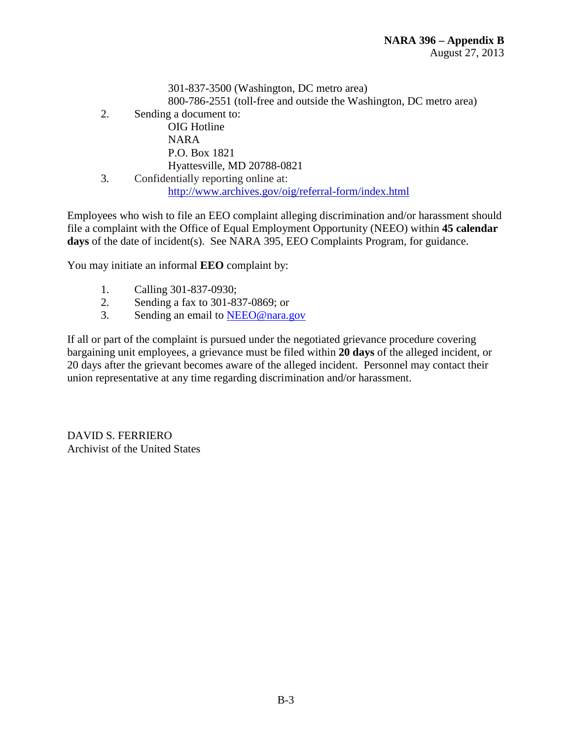301-837-3500 (Washington, DC metro area) 800-786-2551 (toll-free and outside the Washington, DC metro area)

- 2. Sending a document to: OIG Hotline NARA P.O. Box 1821
- Hyattesville, MD 20788-0821 3. Confidentially reporting online at: <http://www.archives.gov/oig/referral-form/index.html>

Employees who wish to file an EEO complaint alleging discrimination and/or harassment should file a complaint with the Office of Equal Employment Opportunity (NEEO) within **45 calendar days** of the date of incident(s). See NARA 395, EEO Complaints Program, for guidance.

You may initiate an informal **EEO** complaint by:

- 1. Calling 301-837-0930;
- 2. Sending a fax to 301-837-0869; or
- 3. Sending an email to [NEEO@nara.gov](mailto:NEEO@nara.gov)

If all or part of the complaint is pursued under the negotiated grievance procedure covering bargaining unit employees, a grievance must be filed within **20 days** of the alleged incident, or 20 days after the grievant becomes aware of the alleged incident. Personnel may contact their union representative at any time regarding discrimination and/or harassment.

DAVID S. FERRIERO Archivist of the United States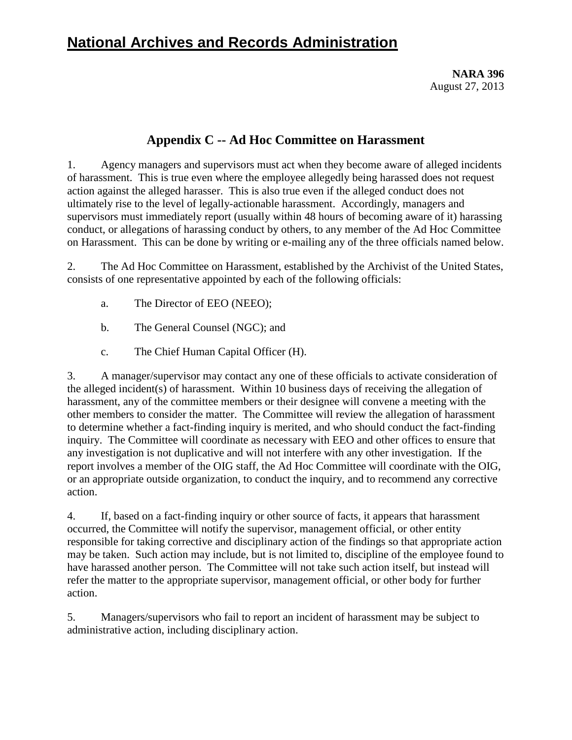# **National Archives and Records Administration**

# **Appendix C -- Ad Hoc Committee on Harassment**

<span id="page-20-0"></span>1. Agency managers and supervisors must act when they become aware of alleged incidents of harassment. This is true even where the employee allegedly being harassed does not request action against the alleged harasser. This is also true even if the alleged conduct does not ultimately rise to the level of legally-actionable harassment. Accordingly, managers and supervisors must immediately report (usually within 48 hours of becoming aware of it) harassing conduct, or allegations of harassing conduct by others, to any member of the Ad Hoc Committee on Harassment. This can be done by writing or e-mailing any of the three officials named below.

2. The Ad Hoc Committee on Harassment, established by the Archivist of the United States, consists of one representative appointed by each of the following officials:

- a. The Director of EEO (NEEO);
- b. The General Counsel (NGC); and
- c. The Chief Human Capital Officer (H).

3. A manager/supervisor may contact any one of these officials to activate consideration of the alleged incident(s) of harassment. Within 10 business days of receiving the allegation of harassment, any of the committee members or their designee will convene a meeting with the other members to consider the matter. The Committee will review the allegation of harassment to determine whether a fact-finding inquiry is merited, and who should conduct the fact-finding inquiry. The Committee will coordinate as necessary with EEO and other offices to ensure that any investigation is not duplicative and will not interfere with any other investigation. If the report involves a member of the OIG staff, the Ad Hoc Committee will coordinate with the OIG, or an appropriate outside organization, to conduct the inquiry, and to recommend any corrective action.

4. If, based on a fact-finding inquiry or other source of facts, it appears that harassment occurred, the Committee will notify the supervisor, management official, or other entity responsible for taking corrective and disciplinary action of the findings so that appropriate action may be taken. Such action may include, but is not limited to, discipline of the employee found to have harassed another person. The Committee will not take such action itself, but instead will refer the matter to the appropriate supervisor, management official, or other body for further action.

5. Managers/supervisors who fail to report an incident of harassment may be subject to administrative action, including disciplinary action.